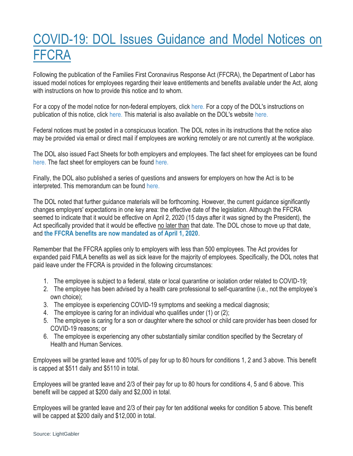## COVID-19: DOL Issues Guidance and Model Notices on FFCRA

Following the publication of the Families First Coronavirus Response Act (FFCRA), the Department of Labor has issued model notices for employees regarding their leave entitlements and benefits available under the Act, along with instructions on how to provide this notice and to whom.

For a copy of the model notice for non-federal employers, click [here.](http://r20.rs6.net/tn.jsp?f=001SRyNlx6hBZF0jV_T_vZrK6tHgZ0RRWq0Ai95S2Hr_Bcgs4A4KAK_ChO0YRqGtN2u3gaW7TqReOeO_-ix7WNpjk6A3GZC9K5TNy8lJHMzUV0SygQfcrXEMsPtbO8G34BUpdBlHUczTZu2Qnck3WiQFGONPX3ryZduYNQQmNj5Kk4E5tLnbRPGZpk76t9tSQTjMoIQ8bFkWXHIw6y5B0r6KFXTnQmo7OC1MWRxF1zaKig=&c=iECN4r3bI8TTjKdfcXJwnh9cHlHrO7RwMAxdpYYL7mS4BTsdNodBnQ==&ch=HdsYzOAWStutx7Ys3aJedihbmX773W6_RwiQC50h-pmUJKhONNnJmA==) For a copy of the DOL's instructions on publication of this notice, click [here.](http://r20.rs6.net/tn.jsp?f=001SRyNlx6hBZF0jV_T_vZrK6tHgZ0RRWq0Ai95S2Hr_Bcgs4A4KAK_ChO0YRqGtN2uuKlR9kpkHEtLOWB_ET8Xg7gm6ayatA8xdg45F1wkwvd7hCaKc3uuQiycBgnKwQf1-EOl_BkgqgKWsxaqj3XfTUeihB0EiWMWhIccZw1N5cd_jTgFnVvukylPoAWZadBJWcl5vm0Zg3luUWhV1x1xj58jUK45FBHlnQpE97gvApY=&c=iECN4r3bI8TTjKdfcXJwnh9cHlHrO7RwMAxdpYYL7mS4BTsdNodBnQ==&ch=HdsYzOAWStutx7Ys3aJedihbmX773W6_RwiQC50h-pmUJKhONNnJmA==) This material is also available on the DOL's website [here.](http://r20.rs6.net/tn.jsp?f=001SRyNlx6hBZF0jV_T_vZrK6tHgZ0RRWq0Ai95S2Hr_Bcgs4A4KAK_ChO0YRqGtN2u1RoQsEcRFT2VLDumfFUg0KBdZLt0yJAo7RJYwkGXdFdzynGqO59O0lLlq560V8sduiFvwgKJt3o=&c=iECN4r3bI8TTjKdfcXJwnh9cHlHrO7RwMAxdpYYL7mS4BTsdNodBnQ==&ch=HdsYzOAWStutx7Ys3aJedihbmX773W6_RwiQC50h-pmUJKhONNnJmA==)

Federal notices must be posted in a conspicuous location. The DOL notes in its instructions that the notice also may be provided via email or direct mail if employees are working remotely or are not currently at the workplace.

The DOL also issued Fact Sheets for both employers and employees. The fact sheet for employees can be found [here.](http://r20.rs6.net/tn.jsp?f=001SRyNlx6hBZF0jV_T_vZrK6tHgZ0RRWq0Ai95S2Hr_Bcgs4A4KAK_ChO0YRqGtN2uZkQFpZ8-iH8D0h_s_LBdyy8aWcgkYscXlwxk_FOWzILPw6Cgaea8M_IMUP1XtM09YcSA20vdBoa88c0o56HrDJ-Jt9gpftw994yRz25QYuLL7aEoCcHIW6vG0sTqDv7LmGT7bEW_HO_cAXz-cEpu8g==&c=iECN4r3bI8TTjKdfcXJwnh9cHlHrO7RwMAxdpYYL7mS4BTsdNodBnQ==&ch=HdsYzOAWStutx7Ys3aJedihbmX773W6_RwiQC50h-pmUJKhONNnJmA==) The fact sheet for employers can be found [here.](http://r20.rs6.net/tn.jsp?f=001SRyNlx6hBZF0jV_T_vZrK6tHgZ0RRWq0Ai95S2Hr_Bcgs4A4KAK_ChO0YRqGtN2us7BTIcb70_oytvuLQa8HKMPHHDJGWqqvHgiD2zaVmTb0yN7Ijrsf6kKqXjYMJLYFiYWRmcPC3REq9RazkxJY4BiIJUd-TmdcmObquGyXoEmun5zWA7RWB59X57ZwYkf8L9TrIU1IPseqxsuVXLDEYQ==&c=iECN4r3bI8TTjKdfcXJwnh9cHlHrO7RwMAxdpYYL7mS4BTsdNodBnQ==&ch=HdsYzOAWStutx7Ys3aJedihbmX773W6_RwiQC50h-pmUJKhONNnJmA==)

Finally, the DOL also published a series of questions and answers for employers on how the Act is to be interpreted. This memorandum can be found [here.](http://r20.rs6.net/tn.jsp?f=001SRyNlx6hBZF0jV_T_vZrK6tHgZ0RRWq0Ai95S2Hr_Bcgs4A4KAK_ChO0YRqGtN2uT_s7lFEjofs5VJ78s9c11JlnEq9BcC0fECUx1BUrKmks642qhQR-Itc-lZxIlYGNFhC6k9_wEpgv7S_4hL3nhRmBM2iT_mzIs_sQpH9Iqo3ia3xhZFPJ-CPwnMMZTvaBfcLmkcrXZmc=&c=iECN4r3bI8TTjKdfcXJwnh9cHlHrO7RwMAxdpYYL7mS4BTsdNodBnQ==&ch=HdsYzOAWStutx7Ys3aJedihbmX773W6_RwiQC50h-pmUJKhONNnJmA==)

The DOL noted that further guidance materials will be forthcoming. However, the current guidance significantly changes employers' expectations in one key area: the effective date of the legislation. Although the FFCRA seemed to indicate that it would be effective on April 2, 2020 (15 days after it was signed by the President), the Act specifically provided that it would be effective no later than that date. The DOL chose to move up that date, and **the FFCRA benefits are now mandated as of April 1, 2020**.

Remember that the FFCRA applies only to employers with less than 500 employees. The Act provides for expanded paid FMLA benefits as well as sick leave for the majority of employees. Specifically, the DOL notes that paid leave under the FFCRA is provided in the following circumstances:

- 1. The employee is subject to a federal, state or local quarantine or isolation order related to COVID-19;
- 2. The employee has been advised by a health care professional to self-quarantine (i.e., not the employee's own choice);
- 3. The employee is experiencing COVID-19 symptoms and seeking a medical diagnosis;
- 4. The employee is caring for an individual who qualifies under (1) or (2);
- 5. The employee is caring for a son or daughter where the school or child care provider has been closed for COVID-19 reasons; or
- 6. The employee is experiencing any other substantially similar condition specified by the Secretary of Health and Human Services.

Employees will be granted leave and 100% of pay for up to 80 hours for conditions 1, 2 and 3 above. This benefit is capped at \$511 daily and \$5110 in total.

Employees will be granted leave and 2/3 of their pay for up to 80 hours for conditions 4, 5 and 6 above. This benefit will be capped at \$200 daily and \$2,000 in total.

Employees will be granted leave and 2/3 of their pay for ten additional weeks for condition 5 above. This benefit will be capped at \$200 daily and \$12,000 in total.